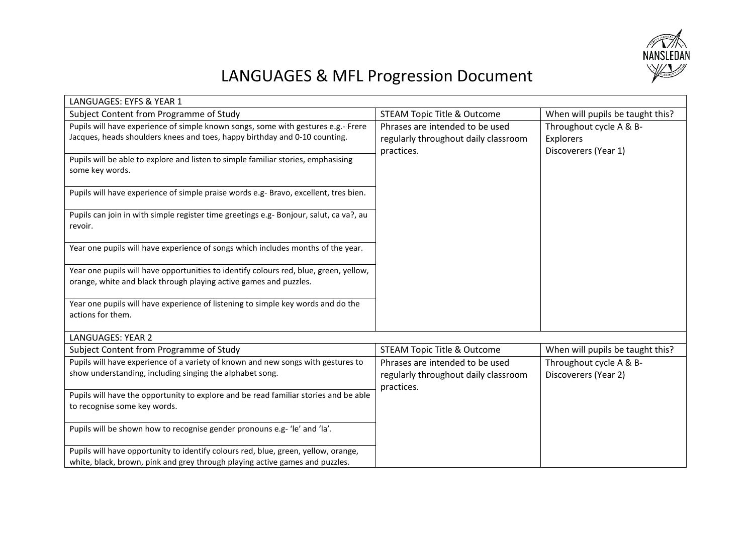

## LANGUAGES & MFL Progression Document

| LANGUAGES: EYFS & YEAR 1                                                                                                                                           |                                                                                       |                                                              |
|--------------------------------------------------------------------------------------------------------------------------------------------------------------------|---------------------------------------------------------------------------------------|--------------------------------------------------------------|
| Subject Content from Programme of Study                                                                                                                            | <b>STEAM Topic Title &amp; Outcome</b>                                                | When will pupils be taught this?                             |
| Pupils will have experience of simple known songs, some with gestures e.g.- Frere<br>Jacques, heads shoulders knees and toes, happy birthday and 0-10 counting.    | Phrases are intended to be used<br>regularly throughout daily classroom<br>practices. | Throughout cycle A & B-<br>Explorers<br>Discoverers (Year 1) |
| Pupils will be able to explore and listen to simple familiar stories, emphasising<br>some key words.                                                               |                                                                                       |                                                              |
| Pupils will have experience of simple praise words e.g- Bravo, excellent, tres bien.                                                                               |                                                                                       |                                                              |
| Pupils can join in with simple register time greetings e.g- Bonjour, salut, ca va?, au<br>revoir.                                                                  |                                                                                       |                                                              |
| Year one pupils will have experience of songs which includes months of the year.                                                                                   |                                                                                       |                                                              |
| Year one pupils will have opportunities to identify colours red, blue, green, yellow,<br>orange, white and black through playing active games and puzzles.         |                                                                                       |                                                              |
| Year one pupils will have experience of listening to simple key words and do the<br>actions for them.                                                              |                                                                                       |                                                              |
| LANGUAGES: YEAR 2                                                                                                                                                  |                                                                                       |                                                              |
| Subject Content from Programme of Study                                                                                                                            | <b>STEAM Topic Title &amp; Outcome</b>                                                | When will pupils be taught this?                             |
| Pupils will have experience of a variety of known and new songs with gestures to<br>show understanding, including singing the alphabet song.                       | Phrases are intended to be used<br>regularly throughout daily classroom<br>practices. | Throughout cycle A & B-<br>Discoverers (Year 2)              |
| Pupils will have the opportunity to explore and be read familiar stories and be able<br>to recognise some key words.                                               |                                                                                       |                                                              |
| Pupils will be shown how to recognise gender pronouns e.g- 'le' and 'la'.                                                                                          |                                                                                       |                                                              |
| Pupils will have opportunity to identify colours red, blue, green, yellow, orange,<br>white, black, brown, pink and grey through playing active games and puzzles. |                                                                                       |                                                              |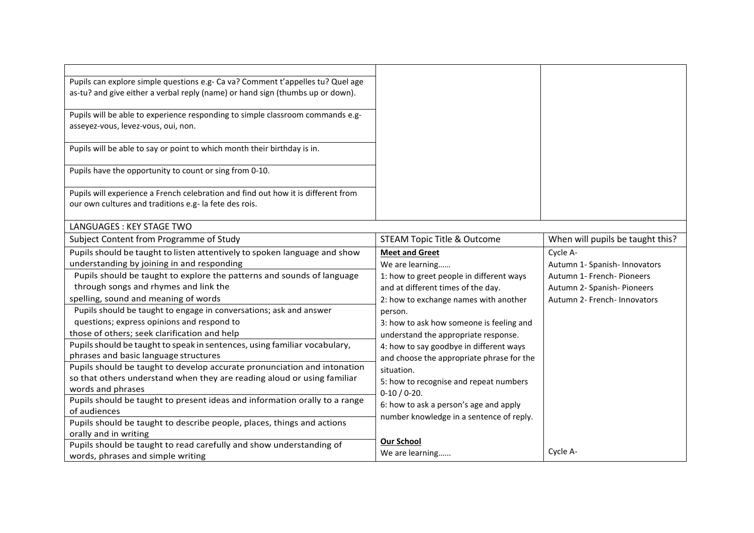| Pupils can explore simple questions e.g- Ca va? Comment t'appelles tu? Quel age   |                                           |                                  |
|-----------------------------------------------------------------------------------|-------------------------------------------|----------------------------------|
| as-tu? and give either a verbal reply (name) or hand sign (thumbs up or down).    |                                           |                                  |
|                                                                                   |                                           |                                  |
| Pupils will be able to experience responding to simple classroom commands e.g-    |                                           |                                  |
| asseyez-vous, levez-vous, oui, non.                                               |                                           |                                  |
|                                                                                   |                                           |                                  |
| Pupils will be able to say or point to which month their birthday is in.          |                                           |                                  |
| Pupils have the opportunity to count or sing from 0-10.                           |                                           |                                  |
|                                                                                   |                                           |                                  |
| Pupils will experience a French celebration and find out how it is different from |                                           |                                  |
| our own cultures and traditions e.g- la fete des rois.                            |                                           |                                  |
|                                                                                   |                                           |                                  |
| LANGUAGES: KEY STAGE TWO                                                          |                                           |                                  |
| Subject Content from Programme of Study                                           | <b>STEAM Topic Title &amp; Outcome</b>    | When will pupils be taught this? |
| Pupils should be taught to listen attentively to spoken language and show         | <b>Meet and Greet</b>                     | Cycle A-                         |
| understanding by joining in and responding                                        | We are learning                           | Autumn 1- Spanish- Innovators    |
| Pupils should be taught to explore the patterns and sounds of language            | 1: how to greet people in different ways  | Autumn 1- French- Pioneers       |
| through songs and rhymes and link the                                             | and at different times of the day.        | Autumn 2- Spanish- Pioneers      |
| spelling, sound and meaning of words                                              | 2: how to exchange names with another     | Autumn 2- French- Innovators     |
| Pupils should be taught to engage in conversations; ask and answer                | person.                                   |                                  |
| questions; express opinions and respond to                                        | 3: how to ask how someone is feeling and  |                                  |
| those of others; seek clarification and help                                      | understand the appropriate response.      |                                  |
| Pupils should be taught to speak in sentences, using familiar vocabulary,         | 4: how to say goodbye in different ways   |                                  |
| phrases and basic language structures                                             | and choose the appropriate phrase for the |                                  |
| Pupils should be taught to develop accurate pronunciation and intonation          | situation.                                |                                  |
| so that others understand when they are reading aloud or using familiar           | 5: how to recognise and repeat numbers    |                                  |
| words and phrases                                                                 | $0-10/0-20.$                              |                                  |
| Pupils should be taught to present ideas and information orally to a range        | 6: how to ask a person's age and apply    |                                  |
| of audiences                                                                      | number knowledge in a sentence of reply.  |                                  |
| Pupils should be taught to describe people, places, things and actions            |                                           |                                  |
| orally and in writing                                                             | <b>Our School</b>                         |                                  |
| Pupils should be taught to read carefully and show understanding of               | We are learning                           | Cycle A-                         |
| words, phrases and simple writing                                                 |                                           |                                  |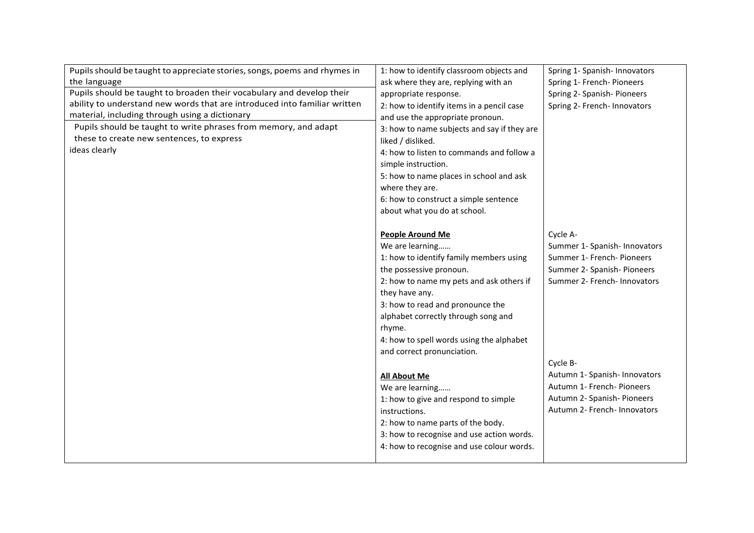| Pupils should be taught to appreciate stories, songs, poems and rhymes in | 1: how to identify classroom objects and    | Spring 1- Spanish- Innovators |
|---------------------------------------------------------------------------|---------------------------------------------|-------------------------------|
| the language                                                              | ask where they are, replying with an        | Spring 1- French- Pioneers    |
| Pupils should be taught to broaden their vocabulary and develop their     | appropriate response.                       | Spring 2- Spanish- Pioneers   |
| ability to understand new words that are introduced into familiar written | 2: how to identify items in a pencil case   | Spring 2- French- Innovators  |
| material, including through using a dictionary                            | and use the appropriate pronoun.            |                               |
| Pupils should be taught to write phrases from memory, and adapt           | 3: how to name subjects and say if they are |                               |
| these to create new sentences, to express                                 | liked / disliked.                           |                               |
| ideas clearly                                                             | 4: how to listen to commands and follow a   |                               |
|                                                                           | simple instruction.                         |                               |
|                                                                           | 5: how to name places in school and ask     |                               |
|                                                                           | where they are.                             |                               |
|                                                                           | 6: how to construct a simple sentence       |                               |
|                                                                           | about what you do at school.                |                               |
|                                                                           |                                             |                               |
|                                                                           | <b>People Around Me</b>                     | Cycle A-                      |
|                                                                           | We are learning                             | Summer 1- Spanish- Innovators |
|                                                                           | 1: how to identify family members using     | Summer 1- French- Pioneers    |
|                                                                           | the possessive pronoun.                     | Summer 2- Spanish- Pioneers   |
|                                                                           | 2: how to name my pets and ask others if    | Summer 2- French- Innovators  |
|                                                                           | they have any.                              |                               |
|                                                                           | 3: how to read and pronounce the            |                               |
|                                                                           | alphabet correctly through song and         |                               |
|                                                                           | rhyme.                                      |                               |
|                                                                           | 4: how to spell words using the alphabet    |                               |
|                                                                           | and correct pronunciation.                  |                               |
|                                                                           |                                             | Cycle B-                      |
|                                                                           | <b>All About Me</b>                         | Autumn 1- Spanish- Innovators |
|                                                                           | We are learning                             | Autumn 1- French- Pioneers    |
|                                                                           | 1: how to give and respond to simple        | Autumn 2- Spanish- Pioneers   |
|                                                                           | instructions.                               | Autumn 2- French- Innovators  |
|                                                                           | 2: how to name parts of the body.           |                               |
|                                                                           | 3: how to recognise and use action words.   |                               |
|                                                                           | 4: how to recognise and use colour words.   |                               |
|                                                                           |                                             |                               |